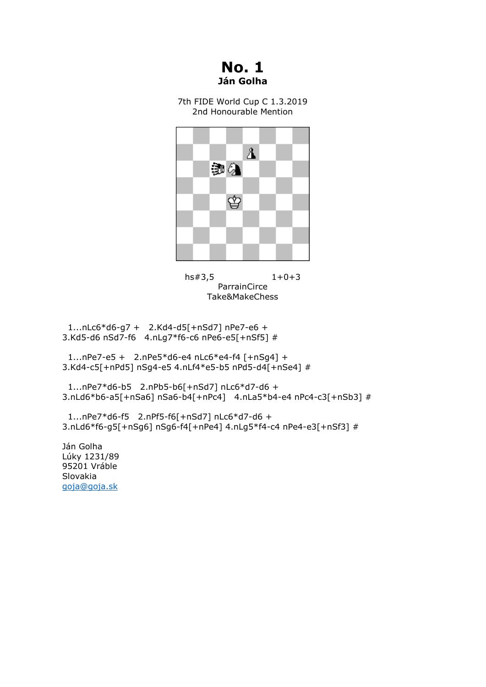**No. 1 Ján Golha**

7th FIDE World Cup C 1.3.2019 2nd Honourable Mention





 1...nLc6\*d6-g7 + 2.Kd4-d5[+nSd7] nPe7-e6 + 3.Kd5-d6 nSd7-f6 4.nLg7\*f6-c6 nPe6-e5[+nSf5] #

 1...nPe7-e5 + 2.nPe5\*d6-e4 nLc6\*e4-f4 [+nSg4] + 3.Kd4-c5[+nPd5] nSg4-e5 4.nLf4\*e5-b5 nPd5-d4[+nSe4] #

 1...nPe7\*d6-b5 2.nPb5-b6[+nSd7] nLc6\*d7-d6 + 3.nLd6\*b6-a5[+nSa6] nSa6-b4[+nPc4] 4.nLa5\*b4-e4 nPc4-c3[+nSb3] #

 1...nPe7\*d6-f5 2.nPf5-f6[+nSd7] nLc6\*d7-d6 + 3.nLd6\*f6-g5[+nSg6] nSg6-f4[+nPe4] 4.nLg5\*f4-c4 nPe4-e3[+nSf3] #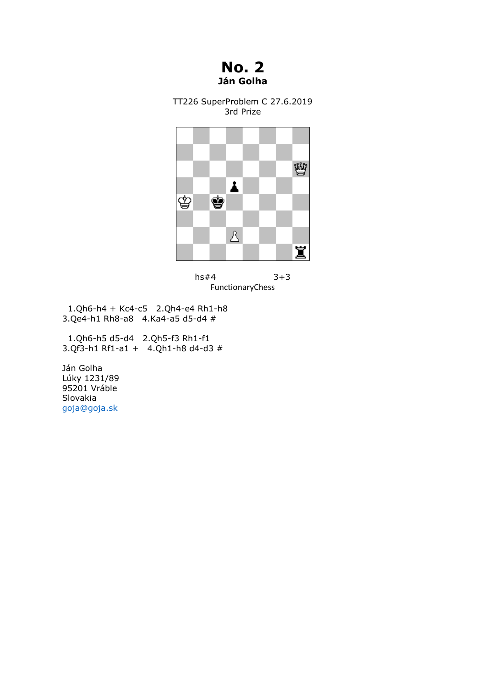## **No. 2 Ján Golha**

TT226 SuperProblem C 27.6.2019 3rd Prize





 1.Qh6-h4 + Kc4-c5 2.Qh4-e4 Rh1-h8 3.Qe4-h1 Rh8-a8 4.Ka4-a5 d5-d4 #

 1.Qh6-h5 d5-d4 2.Qh5-f3 Rh1-f1 3.Qf3-h1 Rf1-a1 + 4.Qh1-h8 d4-d3 #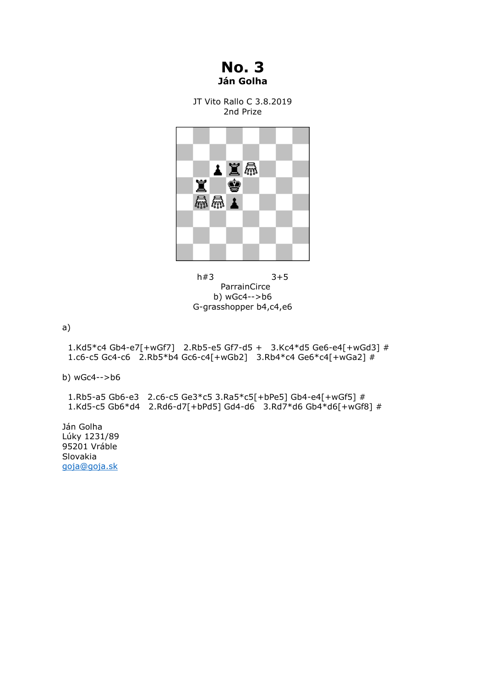**No. 3 Ján Golha**

JT Vito Rallo C 3.8.2019 2nd Prize



h#3 3+5 ParrainCirce b) wGc4-->b6 G-grasshopper b4,c4,e6

a)

 1.Kd5\*c4 Gb4-e7[+wGf7] 2.Rb5-e5 Gf7-d5 + 3.Kc4\*d5 Ge6-e4[+wGd3] # 1.c6-c5 Gc4-c6 2.Rb5\*b4 Gc6-c4[+wGb2] 3.Rb4\*c4 Ge6\*c4[+wGa2] #

b) wGc4-->b6

 1.Rb5-a5 Gb6-e3 2.c6-c5 Ge3\*c5 3.Ra5\*c5[+bPe5] Gb4-e4[+wGf5] # 1.Kd5-c5 Gb6\*d4 2.Rd6-d7[+bPd5] Gd4-d6 3.Rd7\*d6 Gb4\*d6[+wGf8] #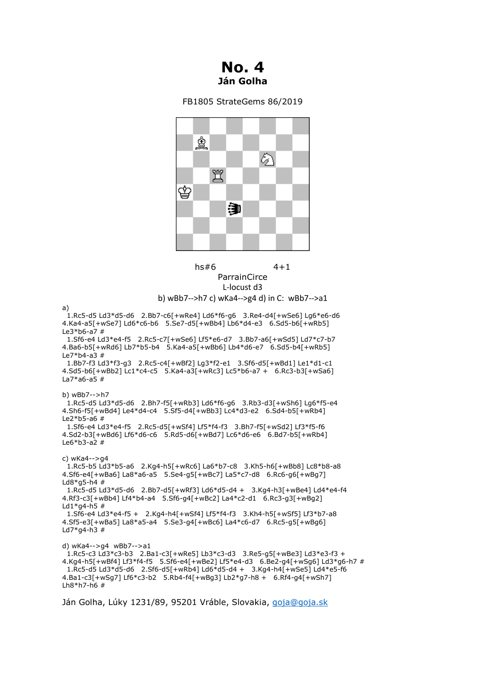

## FB1805 StrateGems 86/2019





## b) wBb7-->h7 c) wKa4-->g4 d) in C: wBb7-->a1

a)

 1.Rc5-d5 Ld3\*d5-d6 2.Bb7-c6[+wRe4] Ld6\*f6-g6 3.Re4-d4[+wSe6] Lg6\*e6-d6 4.Ka4-a5[+wSe7] Ld6\*c6-b6 5.Se7-d5[+wBb4] Lb6\*d4-e3 6.Sd5-b6[+wRb5] Le3\*b6-a7 # 1.Sf6-e4 Ld3\*e4-f5 2.Rc5-c7[+wSe6] Lf5\*e6-d7 3.Bb7-a6[+wSd5] Ld7\*c7-b7 4.Ba6-b5[+wRd6] Lb7\*b5-b4 5.Ka4-a5[+wBb6] Lb4\*d6-e7 6.Sd5-b4[+wRb5] Le7\*b4-a3 # 1.Bb7-f3 Ld3\*f3-g3 2.Rc5-c4[+wBf2] Lg3\*f2-e1 3.Sf6-d5[+wBd1] Le1\*d1-c1 4.Sd5-b6[+wBb2] Lc1\*c4-c5 5.Ka4-a3[+wRc3] Lc5\*b6-a7 + 6.Rc3-b3[+wSa6] La7\*a6-a5 # b) wBb7-->h7 1.Rc5-d5 Ld3\*d5-d6 2.Bh7-f5[+wRb3] Ld6\*f6-g6 3.Rb3-d3[+wSh6] Lg6\*f5-e4 4.Sh6-f5[+wBd4] Le4\*d4-c4 5.Sf5-d4[+wBb3] Lc4\*d3-e2 6.Sd4-b5[+wRb4] Le2\*b5-a6 # 1.Sf6-e4 Ld3\*e4-f5 2.Rc5-d5[+wSf4] Lf5\*f4-f3 3.Bh7-f5[+wSd2] Lf3\*f5-f6 4.Sd2-b3[+wBd6] Lf6\*d6-c6 5.Rd5-d6[+wBd7] Lc6\*d6-e6 6.Bd7-b5[+wRb4] Le6\*b3-a2 # c) wKa4-->g4 1.Rc5-b5 Ld3\*b5-a6 2.Kg4-h5[+wRc6] La6\*b7-c8 3.Kh5-h6[+wBb8] Lc8\*b8-a8 4.Sf6-e4[+wBa6] La8\*a6-a5 5.Se4-g5[+wBc7] La5\*c7-d8 6.Rc6-g6[+wBg7] Ld8\*g5-h4 # 1.Rc5-d5 Ld3\*d5-d6 2.Bb7-d5[+wRf3] Ld6\*d5-d4 + 3.Kg4-h3[+wBe4] Ld4\*e4-f4 4.Rf3-c3[+wBb4] Lf4\*b4-a4 5.Sf6-g4[+wBc2] La4\*c2-d1 6.Rc3-g3[+wBg2]  $1d1*q4-h5 \#$  1.Sf6-e4 Ld3\*e4-f5 + 2.Kg4-h4[+wSf4] Lf5\*f4-f3 3.Kh4-h5[+wSf5] Lf3\*b7-a8 4.Sf5-e3[+wBa5] La8\*a5-a4 5.Se3-g4[+wBc6] La4\*c6-d7 6.Rc5-g5[+wBg6] Ld7 $*$ g4-h3 # d) wKa4-->g4 wBb7-->a1 1.Rc5-c3 Ld3\*c3-b3 2.Ba1-c3[+wRe5] Lb3\*c3-d3 3.Re5-g5[+wBe3] Ld3\*e3-f3 + 4.Kg4-h5[+wBf4] Lf3\*f4-f5 5.Sf6-e4[+wBe2] Lf5\*e4-d3 6.Be2-g4[+wSg6] Ld3\*g6-h7 # 1.Rc5-d5 Ld3\*d5-d6 2.Sf6-d5[+wRb4] Ld6\*d5-d4 + 3.Kg4-h4[+wSe5] Ld4\*e5-f6 4.Ba1-c3[+wSg7] Lf6\*c3-b2 5.Rb4-f4[+wBg3] Lb2\*g7-h8 + 6.Rf4-g4[+wSh7] Lh $8*h7-h6$ #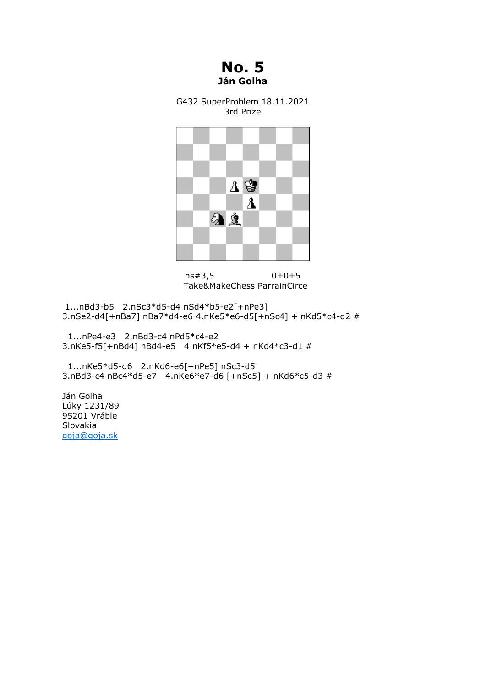**No. 5 Ján Golha**

G432 SuperProblem 18.11.2021 3rd Prize



hs#3,5 0+0+5 Take&MakeChess ParrainCirce

1...nBd3-b5 2.nSc3\*d5-d4 nSd4\*b5-e2[+nPe3] 3.nSe2-d4[+nBa7] nBa7\*d4-e6 4.nKe5\*e6-d5[+nSc4] + nKd5\*c4-d2 #

 1...nPe4-e3 2.nBd3-c4 nPd5\*c4-e2 3.nKe5-f5[+nBd4] nBd4-e5 4.nKf5\*e5-d4 + nKd4\*c3-d1 #

 1...nKe5\*d5-d6 2.nKd6-e6[+nPe5] nSc3-d5 3.nBd3-c4 nBc4\*d5-e7 4.nKe6\*e7-d6 [+nSc5] + nKd6\*c5-d3 #